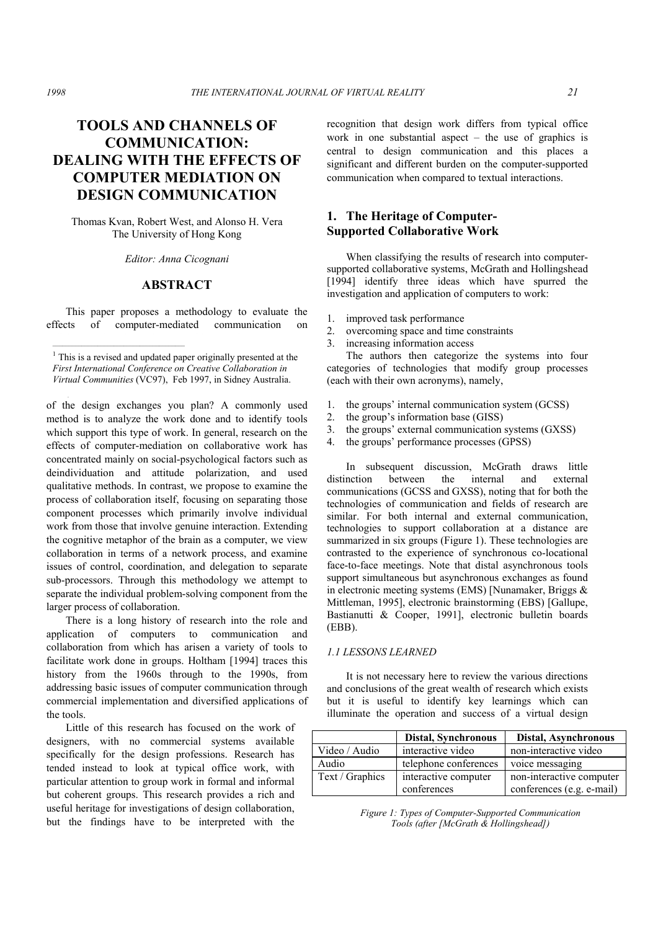# **TOOLS AND CHANNELS OF COMMUNICATION: DEALING WITH THE EFFECTS OF COMPUTER MEDIATION ON DESIGN COMMUNICATION**

Thomas Kvan, Robert West, and Alonso H. Vera The University of Hong Kong

*Editor: Anna Cicognani* 

# **ABSTRACT**

 This paper proposes a methodology to evaluate the effects of computer-mediated communication

 $1$  This is a revised and updated paper originally presented at the *First International Conference on Creative Collaboration in First International Conference on Creative Collaboration in* Virtual Communities (VC97), Feb 1997, in Sidney Australia.

 $\mathcal{L}_\text{max}$ 

tools, which is useful and how will each affect the outcome  $\mathcal{L}$ 

of the design exchanges you plan? A commonly used method is to analyze the work done and to identify tools which support this type of work. In general, research on the effects of computer-mediation on collaborative work has concentrated mainly on social-psychological factors such as deindividuation and attitude polarization, and used qualitative methods. In contrast, we propose to examine the process of collaboration itself, focusing on separating those component processes which primarily involve individual work from those that involve genuine interaction. Extending the cognitive metaphor of the brain as a computer, we view collaboration in terms of a network process, and examine issues of control, coordination, and delegation to separate sub-processors. Through this methodology we attempt to separate the individual problem-solving component from the larger process of collaboration.

 There is a long history of research into the role and application of computers to communication and collaboration from which has arisen a variety of tools to facilitate work done in groups. Holtham [1994] traces this history from the 1960s through to the 1990s, from addressing basic issues of computer communication through commercial implementation and diversified applications of the tools.

 Little of this research has focused on the work of designers, with no commercial systems available specifically for the design professions. Research has tended instead to look at typical office work, with particular attention to group work in formal and informal but coherent groups. This research provides a rich and useful heritage for investigations of design collaboration, but the findings have to be interpreted with the

recognition that design work differs from typical office work in one substantial aspect – the use of graphics is central to design communication and this places a significant and different burden on the computer-supported communication when compared to textual interactions.

# **1. The Heritage of Computer-Supported Collaborative Work**

 When classifying the results of research into computersupported collaborative systems, McGrath and Hollingshead [1994] identify three ideas which have spurred the investigation and application of computers to work:

- 1. improved task performance
- 2. overcoming space and time constraints
- 3. increasing information access

 The authors then categorize the systems into four categories of technologies that modify group processes (each with their own acronyms), namely,

- 1. the groups' internal communication system (GCSS)
- 2. the group's information base (GISS)
- 3. the groups' external communication systems (GXSS)
- 4. the groups' performance processes (GPSS)

 In subsequent discussion, McGrath draws little distinction between the internal and external communications (GCSS and GXSS), noting that for both the technologies of communication and fields of research are similar. For both internal and external communication, technologies to support collaboration at a distance are summarized in six groups (Figure 1). These technologies are contrasted to the experience of synchronous co-locational face-to-face meetings. Note that distal asynchronous tools support simultaneous but asynchronous exchanges as found in electronic meeting systems (EMS) [Nunamaker, Briggs & Mittleman, 1995], electronic brainstorming (EBS) [Gallupe, Bastianutti & Cooper, 1991], electronic bulletin boards (EBB).

### *1.1 LESSONS LEARNED*

 It is not necessary here to review the various directions and conclusions of the great wealth of research which exists but it is useful to identify key learnings which can illuminate the operation and success of a virtual design

|                 | Distal, Synchronous   | Distal, Asynchronous      |
|-----------------|-----------------------|---------------------------|
| Video / Audio   | interactive video     | non-interactive video     |
| Audio           | telephone conferences | voice messaging           |
| Text / Graphics | interactive computer  | non-interactive computer  |
|                 | conferences           | conferences (e.g. e-mail) |

*Figure 1: Types of Computer-Supported Communication Tools (after [McGrath & Hollingshead])*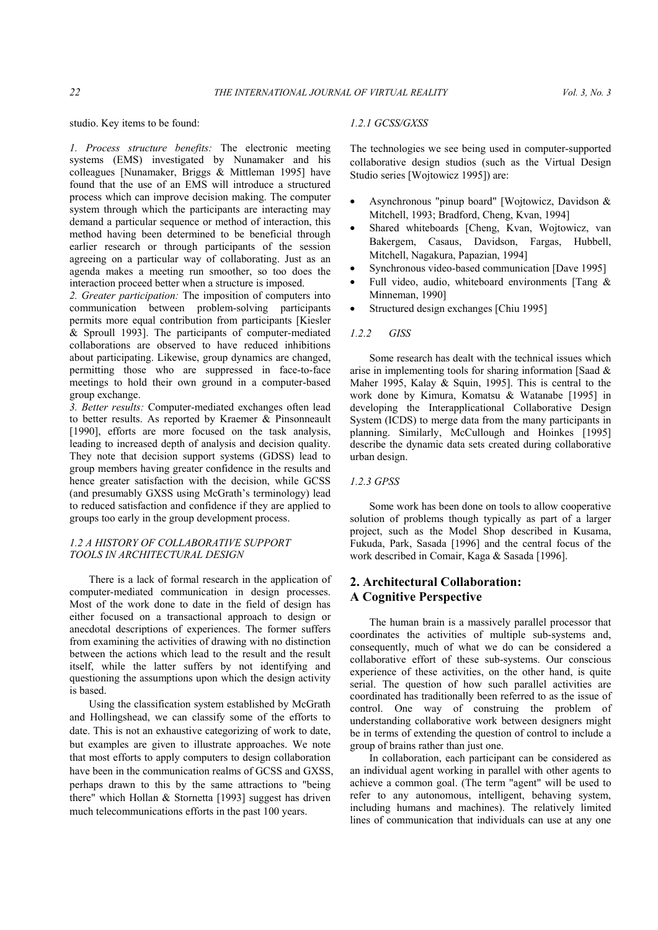studio. Key items to be found:

*1. Process structure benefits:* The electronic meeting systems (EMS) investigated by Nunamaker and his colleagues [Nunamaker, Briggs & Mittleman 1995] have found that the use of an EMS will introduce a structured process which can improve decision making. The computer system through which the participants are interacting may demand a particular sequence or method of interaction, this method having been determined to be beneficial through earlier research or through participants of the session agreeing on a particular way of collaborating. Just as an agenda makes a meeting run smoother, so too does the interaction proceed better when a structure is imposed.

*2. Greater participation:* The imposition of computers into communication between problem-solving participants permits more equal contribution from participants [Kiesler & Sproull 1993]. The participants of computer-mediated collaborations are observed to have reduced inhibitions about participating. Likewise, group dynamics are changed, permitting those who are suppressed in face-to-face meetings to hold their own ground in a computer-based group exchange.

*3. Better results:* Computer-mediated exchanges often lead to better results. As reported by Kraemer & Pinsonneault [1990], efforts are more focused on the task analysis, leading to increased depth of analysis and decision quality. They note that decision support systems (GDSS) lead to group members having greater confidence in the results and hence greater satisfaction with the decision, while GCSS (and presumably GXSS using McGrath's terminology) lead to reduced satisfaction and confidence if they are applied to groups too early in the group development process.

# *1.2 A HISTORY OF COLLABORATIVE SUPPORT TOOLS IN ARCHITECTURAL DESIGN*

 There is a lack of formal research in the application of computer-mediated communication in design processes. Most of the work done to date in the field of design has either focused on a transactional approach to design or anecdotal descriptions of experiences. The former suffers from examining the activities of drawing with no distinction between the actions which lead to the result and the result itself, while the latter suffers by not identifying and questioning the assumptions upon which the design activity is based.

 Using the classification system established by McGrath and Hollingshead, we can classify some of the efforts to date. This is not an exhaustive categorizing of work to date, but examples are given to illustrate approaches. We note that most efforts to apply computers to design collaboration have been in the communication realms of GCSS and GXSS. perhaps drawn to this by the same attractions to "being there" which Hollan & Stornetta [1993] suggest has driven much telecommunications efforts in the past 100 years.

#### *1.2.1 GCSS/GXSS*

The technologies we see being used in computer-supported collaborative design studios (such as the Virtual Design Studio series [Wojtowicz 1995]) are:

- Asynchronous "pinup board" [Wojtowicz, Davidson & Mitchell, 1993; Bradford, Cheng, Kvan, 1994]
- Shared whiteboards [Cheng, Kvan, Wojtowicz, van Bakergem, Casaus, Davidson, Fargas, Hubbell, Mitchell, Nagakura, Papazian, 1994]
- Synchronous video-based communication [Dave 1995]
- Full video, audio, whiteboard environments [Tang  $\&$ Minneman, 1990]
- Structured design exchanges [Chiu 1995]

### *1.2.2 GISS*

 Some research has dealt with the technical issues which arise in implementing tools for sharing information [Saad  $\&$ Maher 1995, Kalay & Squin, 1995]. This is central to the work done by Kimura, Komatsu & Watanabe [1995] in developing the Interapplicational Collaborative Design System (ICDS) to merge data from the many participants in planning. Similarly, McCullough and Hoinkes [1995] describe the dynamic data sets created during collaborative urban design.

#### *1.2.3 GPSS*

 Some work has been done on tools to allow cooperative solution of problems though typically as part of a larger project, such as the Model Shop described in Kusama, Fukuda, Park, Sasada [1996] and the central focus of the work described in Comair, Kaga & Sasada [1996].

# **2. Architectural Collaboration: A Cognitive Perspective**

 The human brain is a massively parallel processor that coordinates the activities of multiple sub-systems and, consequently, much of what we do can be considered a collaborative effort of these sub-systems. Our conscious experience of these activities, on the other hand, is quite serial. The question of how such parallel activities are coordinated has traditionally been referred to as the issue of control. One way of construing the problem of understanding collaborative work between designers might be in terms of extending the question of control to include a group of brains rather than just one.

 In collaboration, each participant can be considered as an individual agent working in parallel with other agents to achieve a common goal. (The term "agent" will be used to refer to any autonomous, intelligent, behaving system, including humans and machines). The relatively limited lines of communication that individuals can use at any one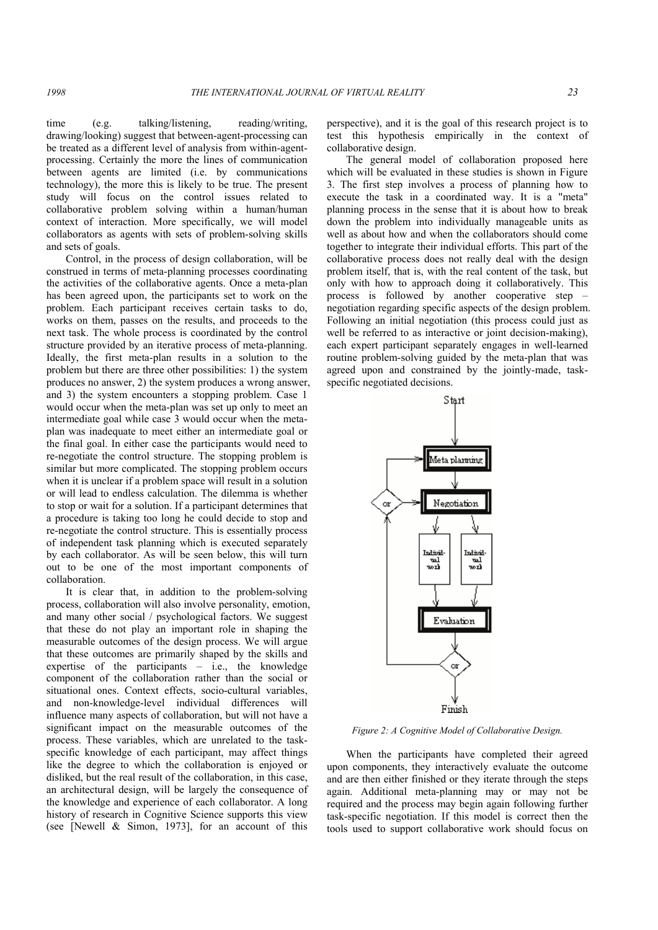time (e.g. talking/listening, reading/writing, drawing/looking) suggest that between-agent-processing can be treated as a different level of analysis from within-agentprocessing. Certainly the more the lines of communication between agents are limited (i.e. by communications technology), the more this is likely to be true. The present study will focus on the control issues related to collaborative problem solving within a human/human context of interaction. More specifically, we will model collaborators as agents with sets of problem-solving skills and sets of goals.

 Control, in the process of design collaboration, will be construed in terms of meta-planning processes coordinating the activities of the collaborative agents. Once a meta-plan has been agreed upon, the participants set to work on the problem. Each participant receives certain tasks to do, works on them, passes on the results, and proceeds to the next task. The whole process is coordinated by the control structure provided by an iterative process of meta-planning. Ideally, the first meta-plan results in a solution to the problem but there are three other possibilities: 1) the system produces no answer, 2) the system produces a wrong answer, and 3) the system encounters a stopping problem. Case 1 would occur when the meta-plan was set up only to meet an intermediate goal while case 3 would occur when the metaplan was inadequate to meet either an intermediate goal or the final goal. In either case the participants would need to re-negotiate the control structure. The stopping problem is similar but more complicated. The stopping problem occurs when it is unclear if a problem space will result in a solution or will lead to endless calculation. The dilemma is whether to stop or wait for a solution. If a participant determines that a procedure is taking too long he could decide to stop and re-negotiate the control structure. This is essentially process of independent task planning which is executed separately by each collaborator. As will be seen below, this will turn out to be one of the most important components of collaboration.

 It is clear that, in addition to the problem-solving process, collaboration will also involve personality, emotion, and many other social / psychological factors. We suggest that these do not play an important role in shaping the measurable outcomes of the design process. We will argue that these outcomes are primarily shaped by the skills and expertise of the participants  $-$  i.e., the knowledge component of the collaboration rather than the social or situational ones. Context effects, socio-cultural variables, and non-knowledge-level individual differences will influence many aspects of collaboration, but will not have a significant impact on the measurable outcomes of the process. These variables, which are unrelated to the taskspecific knowledge of each participant, may affect things like the degree to which the collaboration is enjoyed or disliked, but the real result of the collaboration, in this case, an architectural design, will be largely the consequence of the knowledge and experience of each collaborator. A long history of research in Cognitive Science supports this view (see [Newell & Simon, 1973], for an account of this

perspective), and it is the goal of this research project is to test this hypothesis empirically in the context of collaborative design.

 The general model of collaboration proposed here which will be evaluated in these studies is shown in Figure 3. The first step involves a process of planning how to execute the task in a coordinated way. It is a "meta" planning process in the sense that it is about how to break down the problem into individually manageable units as well as about how and when the collaborators should come together to integrate their individual efforts. This part of the collaborative process does not really deal with the design problem itself, that is, with the real content of the task, but only with how to approach doing it collaboratively. This process is followed by another cooperative step – negotiation regarding specific aspects of the design problem. Following an initial negotiation (this process could just as well be referred to as interactive or joint decision-making), each expert participant separately engages in well-learned routine problem-solving guided by the meta-plan that was agreed upon and constrained by the jointly-made, taskspecific negotiated decisions.



*Figure 2: A Cognitive Model of Collaborative Design.* 

 When the participants have completed their agreed upon components, they interactively evaluate the outcome and are then either finished or they iterate through the steps again. Additional meta-planning may or may not be required and the process may begin again following further task-specific negotiation. If this model is correct then the tools used to support collaborative work should focus on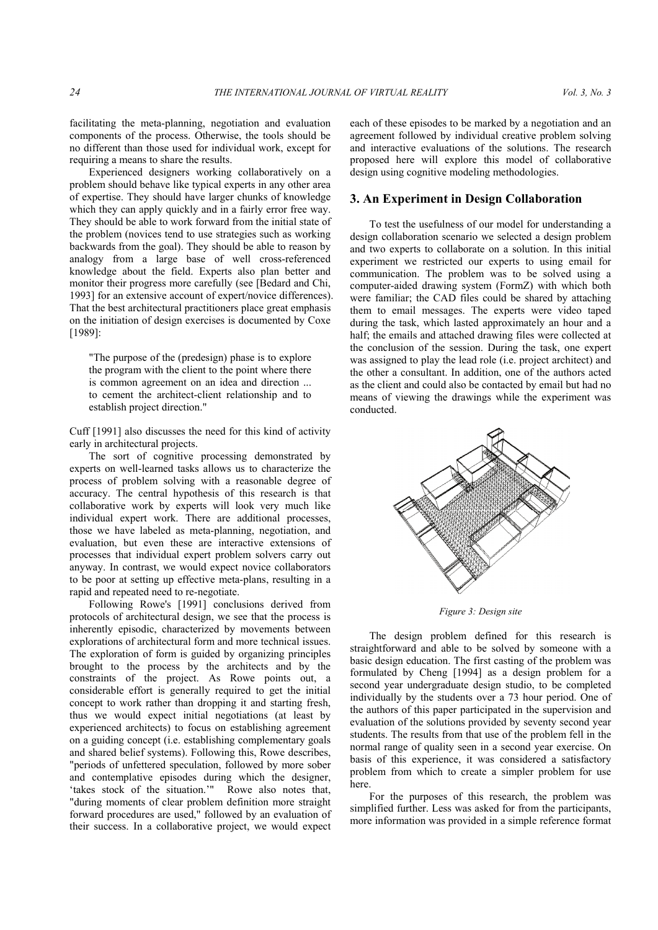facilitating the meta-planning, negotiation and evaluation components of the process. Otherwise, the tools should be no different than those used for individual work, except for requiring a means to share the results.

 Experienced designers working collaboratively on a problem should behave like typical experts in any other area of expertise. They should have larger chunks of knowledge which they can apply quickly and in a fairly error free way. They should be able to work forward from the initial state of the problem (novices tend to use strategies such as working backwards from the goal). They should be able to reason by analogy from a large base of well cross-referenced knowledge about the field. Experts also plan better and monitor their progress more carefully (see [Bedard and Chi, 1993] for an extensive account of expert/novice differences). That the best architectural practitioners place great emphasis on the initiation of design exercises is documented by Coxe [1989]:

"The purpose of the (predesign) phase is to explore the program with the client to the point where there is common agreement on an idea and direction ... to cement the architect-client relationship and to establish project direction."

Cuff [1991] also discusses the need for this kind of activity early in architectural projects.

 The sort of cognitive processing demonstrated by experts on well-learned tasks allows us to characterize the process of problem solving with a reasonable degree of accuracy. The central hypothesis of this research is that collaborative work by experts will look very much like individual expert work. There are additional processes, those we have labeled as meta-planning, negotiation, and evaluation, but even these are interactive extensions of processes that individual expert problem solvers carry out anyway. In contrast, we would expect novice collaborators to be poor at setting up effective meta-plans, resulting in a rapid and repeated need to re-negotiate.

 Following Rowe's [1991] conclusions derived from protocols of architectural design, we see that the process is inherently episodic, characterized by movements between explorations of architectural form and more technical issues. The exploration of form is guided by organizing principles brought to the process by the architects and by the constraints of the project. As Rowe points out, a considerable effort is generally required to get the initial concept to work rather than dropping it and starting fresh, thus we would expect initial negotiations (at least by experienced architects) to focus on establishing agreement on a guiding concept (i.e. establishing complementary goals and shared belief systems). Following this, Rowe describes, "periods of unfettered speculation, followed by more sober and contemplative episodes during which the designer, 'takes stock of the situation.'" Rowe also notes that, "during moments of clear problem definition more straight forward procedures are used," followed by an evaluation of their success. In a collaborative project, we would expect

each of these episodes to be marked by a negotiation and an agreement followed by individual creative problem solving and interactive evaluations of the solutions. The research proposed here will explore this model of collaborative design using cognitive modeling methodologies.

## **3. An Experiment in Design Collaboration**

 To test the usefulness of our model for understanding a design collaboration scenario we selected a design problem and two experts to collaborate on a solution. In this initial experiment we restricted our experts to using email for communication. The problem was to be solved using a computer-aided drawing system (FormZ) with which both were familiar; the CAD files could be shared by attaching them to email messages. The experts were video taped during the task, which lasted approximately an hour and a half; the emails and attached drawing files were collected at the conclusion of the session. During the task, one expert was assigned to play the lead role (i.e. project architect) and the other a consultant. In addition, one of the authors acted as the client and could also be contacted by email but had no means of viewing the drawings while the experiment was conducted.



*Figure 3: Design site*

 The design problem defined for this research is straightforward and able to be solved by someone with a basic design education. The first casting of the problem was formulated by Cheng [1994] as a design problem for a second year undergraduate design studio, to be completed individually by the students over a 73 hour period. One of the authors of this paper participated in the supervision and evaluation of the solutions provided by seventy second year students. The results from that use of the problem fell in the normal range of quality seen in a second year exercise. On basis of this experience, it was considered a satisfactory problem from which to create a simpler problem for use here.

 For the purposes of this research, the problem was simplified further. Less was asked for from the participants, more information was provided in a simple reference format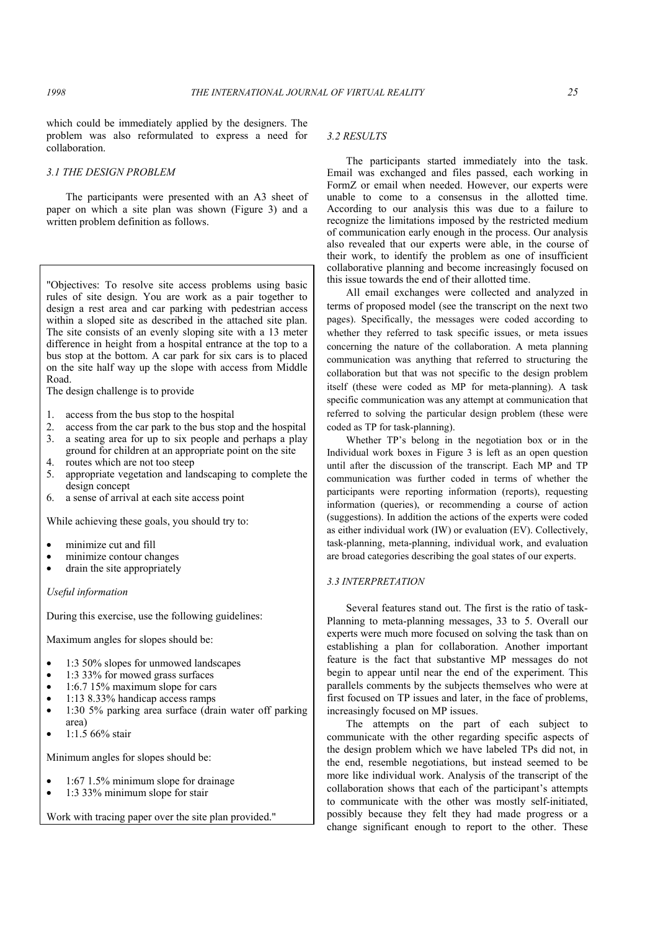which could be immediately applied by the designers. The problem was also reformulated to express a need for collaboration.

#### *3.1 THE DESIGN PROBLEM*

 The participants were presented with an A3 sheet of paper on which a site plan was shown (Figure 3) and a written problem definition as follows.

"Objectives: To resolve site access problems using basic rules of site design. You are work as a pair together to design a rest area and car parking with pedestrian access within a sloped site as described in the attached site plan. The site consists of an evenly sloping site with a 13 meter difference in height from a hospital entrance at the top to a bus stop at the bottom. A car park for six cars is to placed on the site half way up the slope with access from Middle Road.

The design challenge is to provide

- 1. access from the bus stop to the hospital
- 2. access from the car park to the bus stop and the hospital
- 3. a seating area for up to six people and perhaps a play ground for children at an appropriate point on the site
- 4. routes which are not too steep
- 5. appropriate vegetation and landscaping to complete the design concept
- 6. a sense of arrival at each site access point

While achieving these goals, you should try to:

- minimize cut and fill
- minimize contour changes
- drain the site appropriately

*Useful information* 

During this exercise, use the following guidelines:

Maximum angles for slopes should be:

- 1:3 50% slopes for unmowed landscapes
- 1:3 33% for mowed grass surfaces
- $\bullet$  1:6.7 15% maximum slope for cars
- 1:13 8.33% handicap access ramps
- 1:30 5% parking area surface (drain water off parking area)
- 1:1.5 66% stair

Minimum angles for slopes should be:

- 1:67 1.5% minimum slope for drainage
- 1:3 33% minimum slope for stair

Work with tracing paper over the site plan provided."

#### *3.2 RESULTS*

 The participants started immediately into the task. Email was exchanged and files passed, each working in FormZ or email when needed. However, our experts were unable to come to a consensus in the allotted time. According to our analysis this was due to a failure to recognize the limitations imposed by the restricted medium of communication early enough in the process. Our analysis also revealed that our experts were able, in the course of their work, to identify the problem as one of insufficient collaborative planning and become increasingly focused on this issue towards the end of their allotted time.

 All email exchanges were collected and analyzed in terms of proposed model (see the transcript on the next two pages). Specifically, the messages were coded according to whether they referred to task specific issues, or meta issues concerning the nature of the collaboration. A meta planning communication was anything that referred to structuring the collaboration but that was not specific to the design problem itself (these were coded as MP for meta-planning). A task specific communication was any attempt at communication that referred to solving the particular design problem (these were coded as TP for task-planning).

 Whether TP's belong in the negotiation box or in the Individual work boxes in Figure 3 is left as an open question until after the discussion of the transcript. Each MP and TP communication was further coded in terms of whether the participants were reporting information (reports), requesting information (queries), or recommending a course of action (suggestions). In addition the actions of the experts were coded as either individual work (IW) or evaluation (EV). Collectively, task-planning, meta-planning, individual work, and evaluation are broad categories describing the goal states of our experts.

#### *3.3 INTERPRETATION*

 Several features stand out. The first is the ratio of task-Planning to meta-planning messages, 33 to 5. Overall our experts were much more focused on solving the task than on establishing a plan for collaboration. Another important feature is the fact that substantive MP messages do not begin to appear until near the end of the experiment. This parallels comments by the subjects themselves who were at first focused on TP issues and later, in the face of problems, increasingly focused on MP issues.

 The attempts on the part of each subject to communicate with the other regarding specific aspects of the design problem which we have labeled TPs did not, in the end, resemble negotiations, but instead seemed to be more like individual work. Analysis of the transcript of the collaboration shows that each of the participant's attempts to communicate with the other was mostly self-initiated, possibly because they felt they had made progress or a change significant enough to report to the other. These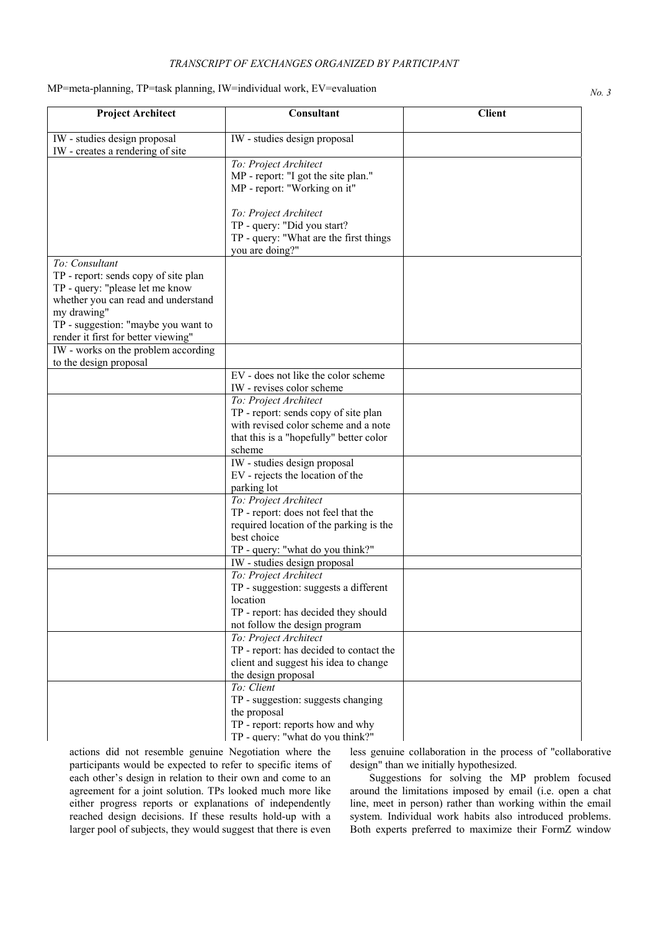# *TRANSCRIPT OF EXCHANGES ORGANIZED BY PARTICIPANT*

# *MP=meta-planning, TP=task planning, IW=individual work, EV=evaluation No. 3 No. 3*

| <b>Project Architect</b>                                                                                                         | Consultant                                                                                                                       | <b>Client</b> |
|----------------------------------------------------------------------------------------------------------------------------------|----------------------------------------------------------------------------------------------------------------------------------|---------------|
| IW - studies design proposal<br>IW - creates a rendering of site                                                                 | IW - studies design proposal                                                                                                     |               |
|                                                                                                                                  | To: Project Architect<br>MP - report: "I got the site plan."<br>MP - report: "Working on it"                                     |               |
|                                                                                                                                  | To: Project Architect<br>TP - query: "Did you start?<br>TP - query: "What are the first things<br>you are doing?"                |               |
| To: Consultant<br>TP - report: sends copy of site plan<br>TP - query: "please let me know<br>whether you can read and understand |                                                                                                                                  |               |
| my drawing"<br>TP - suggestion: "maybe you want to<br>render it first for better viewing"                                        |                                                                                                                                  |               |
| IW - works on the problem according<br>to the design proposal                                                                    |                                                                                                                                  |               |
|                                                                                                                                  | EV - does not like the color scheme<br>IW - revises color scheme                                                                 |               |
|                                                                                                                                  | To: Project Architect<br>TP - report: sends copy of site plan<br>with revised color scheme and a note                            |               |
|                                                                                                                                  | that this is a "hopefully" better color<br>scheme                                                                                |               |
|                                                                                                                                  | IW - studies design proposal<br>EV - rejects the location of the<br>parking lot                                                  |               |
|                                                                                                                                  | To: Project Architect<br>TP - report: does not feel that the<br>required location of the parking is the                          |               |
|                                                                                                                                  | best choice<br>TP - query: "what do you think?"                                                                                  |               |
|                                                                                                                                  | IW - studies design proposal                                                                                                     |               |
|                                                                                                                                  | To: Project Architect<br>TP - suggestion: suggests a different<br>location                                                       |               |
|                                                                                                                                  | TP - report: has decided they should<br>not follow the design program                                                            |               |
|                                                                                                                                  | To: Project Architect<br>TP - report: has decided to contact the<br>client and suggest his idea to change<br>the design proposal |               |
|                                                                                                                                  | To: Client<br>TP - suggestion: suggests changing<br>the proposal<br>TP - report: reports how and why                             |               |
|                                                                                                                                  | TP - query: "what do you think?"                                                                                                 |               |

actions did not resemble genuine Negotiation where the participants would be expected to refer to specific items of each other's design in relation to their own and come to an agreement for a joint solution. TPs looked much more like either progress reports or explanations of independently reached design decisions. If these results hold-up with a larger pool of subjects, they would suggest that there is even

less genuine collaboration in the process of "collaborative design" than we initially hypothesized.

 Suggestions for solving the MP problem focused around the limitations imposed by email (i.e. open a chat line, meet in person) rather than working within the email system. Individual work habits also introduced problems. Both experts preferred to maximize their FormZ window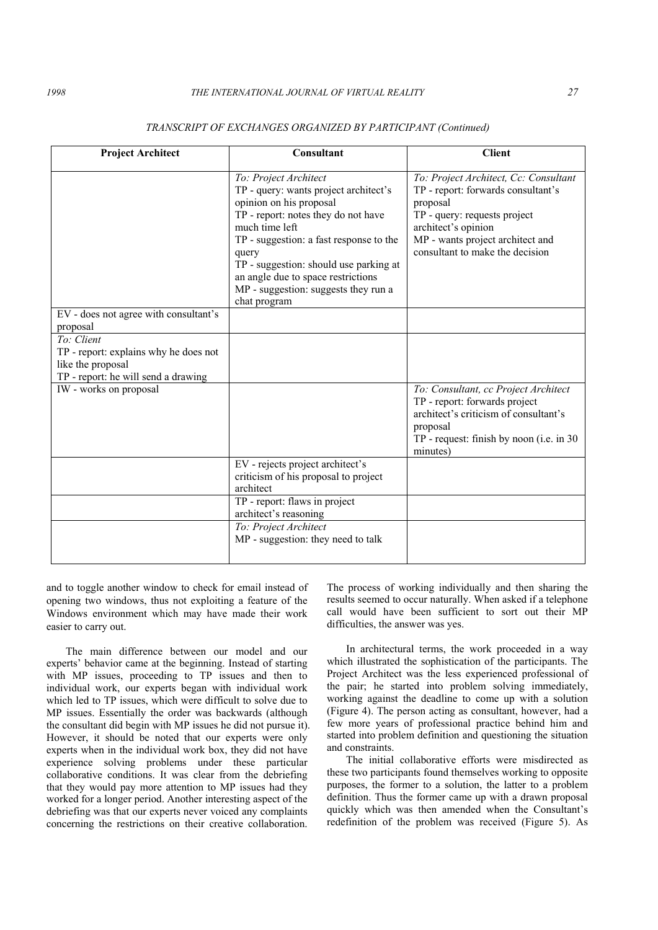| <b>Project Architect</b>                                                                                        | Consultant                                                                                                                                                                                                                                                                                                                                     | <b>Client</b>                                                                                                                                                                                                         |
|-----------------------------------------------------------------------------------------------------------------|------------------------------------------------------------------------------------------------------------------------------------------------------------------------------------------------------------------------------------------------------------------------------------------------------------------------------------------------|-----------------------------------------------------------------------------------------------------------------------------------------------------------------------------------------------------------------------|
|                                                                                                                 | To: Project Architect<br>TP - query: wants project architect's<br>opinion on his proposal<br>TP - report: notes they do not have<br>much time left<br>TP - suggestion: a fast response to the<br>query<br>TP - suggestion: should use parking at<br>an angle due to space restrictions<br>MP - suggestion: suggests they run a<br>chat program | To: Project Architect, Cc: Consultant<br>TP - report: forwards consultant's<br>proposal<br>TP - query: requests project<br>architect's opinion<br>MP - wants project architect and<br>consultant to make the decision |
| EV - does not agree with consultant's<br>proposal                                                               |                                                                                                                                                                                                                                                                                                                                                |                                                                                                                                                                                                                       |
| To: Client<br>TP - report: explains why he does not<br>like the proposal<br>TP - report: he will send a drawing |                                                                                                                                                                                                                                                                                                                                                |                                                                                                                                                                                                                       |
| IW - works on proposal                                                                                          |                                                                                                                                                                                                                                                                                                                                                | To: Consultant, cc Project Architect<br>TP - report: forwards project<br>architect's criticism of consultant's<br>proposal<br>TP - request: finish by noon (i.e. in 30)<br>minutes)                                   |
|                                                                                                                 | EV - rejects project architect's<br>criticism of his proposal to project<br>architect                                                                                                                                                                                                                                                          |                                                                                                                                                                                                                       |
|                                                                                                                 | TP - report: flaws in project<br>architect's reasoning                                                                                                                                                                                                                                                                                         |                                                                                                                                                                                                                       |
|                                                                                                                 | To: Project Architect<br>MP - suggestion: they need to talk                                                                                                                                                                                                                                                                                    |                                                                                                                                                                                                                       |

#### *TRANSCRIPT OF EXCHANGES ORGANIZED BY PARTICIPANT (Continued)*

and to toggle another window to check for email instead of opening two windows, thus not exploiting a feature of the Windows environment which may have made their work easier to carry out.

 The main difference between our model and our experts' behavior came at the beginning. Instead of starting with MP issues, proceeding to TP issues and then to individual work, our experts began with individual work which led to TP issues, which were difficult to solve due to MP issues. Essentially the order was backwards (although the consultant did begin with MP issues he did not pursue it). However, it should be noted that our experts were only experts when in the individual work box, they did not have experience solving problems under these particular collaborative conditions. It was clear from the debriefing that they would pay more attention to MP issues had they worked for a longer period. Another interesting aspect of the debriefing was that our experts never voiced any complaints concerning the restrictions on their creative collaboration.

The process of working individually and then sharing the results seemed to occur naturally. When asked if a telephone call would have been sufficient to sort out their MP difficulties, the answer was yes.

 In architectural terms, the work proceeded in a way which illustrated the sophistication of the participants. The Project Architect was the less experienced professional of the pair; he started into problem solving immediately, working against the deadline to come up with a solution (Figure 4). The person acting as consultant, however, had a few more years of professional practice behind him and started into problem definition and questioning the situation and constraints.

 The initial collaborative efforts were misdirected as these two participants found themselves working to opposite purposes, the former to a solution, the latter to a problem definition. Thus the former came up with a drawn proposal quickly which was then amended when the Consultant's redefinition of the problem was received (Figure 5). As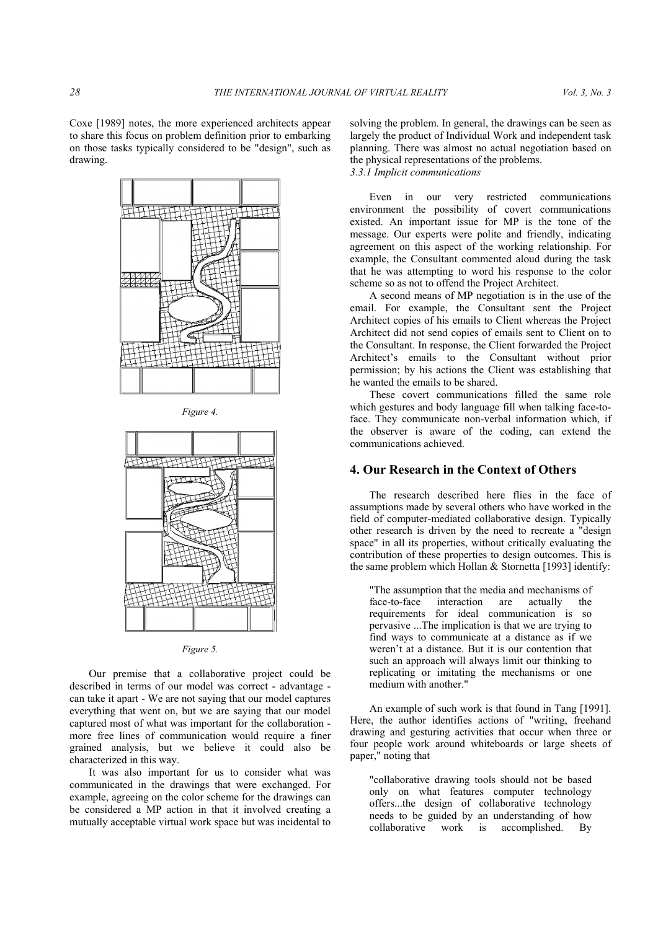





*Figure 5.* 

 Our premise that a collaborative project could be described in terms of our model was correct - advantage can take it apart - We are not saying that our model captures everything that went on, but we are saying that our model captured most of what was important for the collaboration more free lines of communication would require a finer grained analysis, but we believe it could also be characterized in this way.

 It was also important for us to consider what was communicated in the drawings that were exchanged. For example, agreeing on the color scheme for the drawings can be considered a MP action in that it involved creating a mutually acceptable virtual work space but was incidental to

solving the problem. In general, the drawings can be seen as largely the product of Individual Work and independent task planning. There was almost no actual negotiation based on the physical representations of the problems. *3.3.1 Implicit communications* 

 Even in our very restricted communications environment the possibility of covert communications existed. An important issue for MP is the tone of the message. Our experts were polite and friendly, indicating agreement on this aspect of the working relationship. For example, the Consultant commented aloud during the task that he was attempting to word his response to the color scheme so as not to offend the Project Architect.

 A second means of MP negotiation is in the use of the email. For example, the Consultant sent the Project Architect copies of his emails to Client whereas the Project Architect did not send copies of emails sent to Client on to the Consultant. In response, the Client forwarded the Project Architect's emails to the Consultant without prior permission; by his actions the Client was establishing that he wanted the emails to be shared.

 These covert communications filled the same role which gestures and body language fill when talking face-toface. They communicate non-verbal information which, if the observer is aware of the coding, can extend the communications achieved.

### **4. Our Research in the Context of Others**

 The research described here flies in the face of assumptions made by several others who have worked in the field of computer-mediated collaborative design. Typically other research is driven by the need to recreate a "design space" in all its properties, without critically evaluating the contribution of these properties to design outcomes. This is the same problem which Hollan & Stornetta [1993] identify:

The assumption that the media and mechanisms of<br>face-to-face interaction are actually the face-to-face interaction are actually requirements for ideal communication is so pervasive ...The implication is that we are trying to find ways to communicate at a distance as if we weren't at a distance. But it is our contention that such an approach will always limit our thinking to replicating or imitating the mechanisms or one medium with another."

 An example of such work is that found in Tang [1991]. Here, the author identifies actions of "writing, freehand drawing and gesturing activities that occur when three or four people work around whiteboards or large sheets of paper," noting that

"collaborative drawing tools should not be based only on what features computer technology offers...the design of collaborative technology needs to be guided by an understanding of how collaborative work is accomplished. By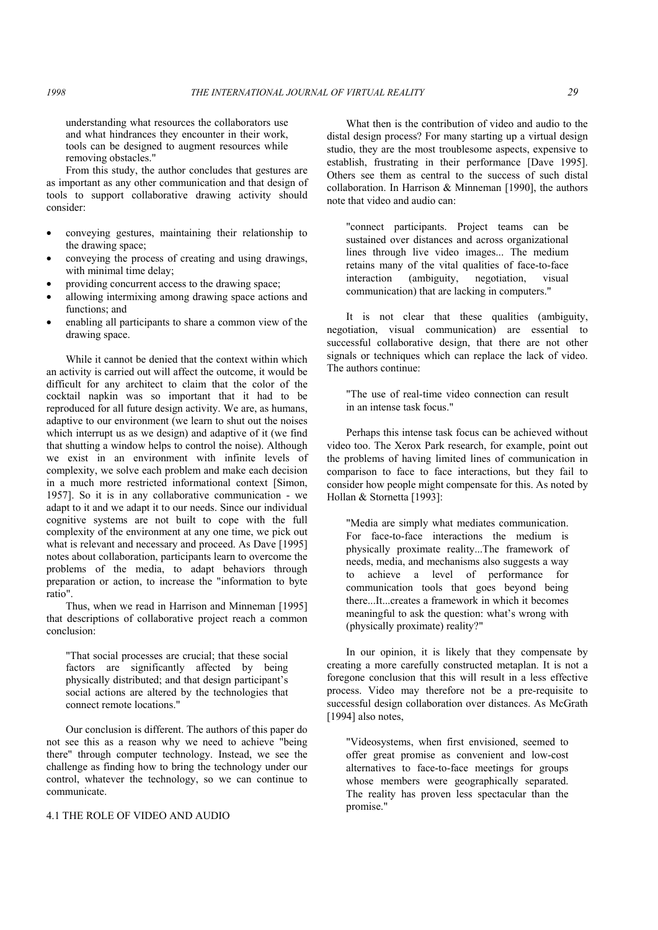understanding what resources the collaborators use and what hindrances they encounter in their work, tools can be designed to augment resources while removing obstacles."

 From this study, the author concludes that gestures are as important as any other communication and that design of tools to support collaborative drawing activity should consider:

- conveying gestures, maintaining their relationship to the drawing space;
- conveying the process of creating and using drawings, with minimal time delay;
- providing concurrent access to the drawing space;
- allowing intermixing among drawing space actions and functions; and
- enabling all participants to share a common view of the drawing space.

 While it cannot be denied that the context within which an activity is carried out will affect the outcome, it would be difficult for any architect to claim that the color of the cocktail napkin was so important that it had to be reproduced for all future design activity. We are, as humans, adaptive to our environment (we learn to shut out the noises which interrupt us as we design) and adaptive of it (we find that shutting a window helps to control the noise). Although we exist in an environment with infinite levels of complexity, we solve each problem and make each decision in a much more restricted informational context [Simon, 1957]. So it is in any collaborative communication - we adapt to it and we adapt it to our needs. Since our individual cognitive systems are not built to cope with the full complexity of the environment at any one time, we pick out what is relevant and necessary and proceed. As Dave [1995] notes about collaboration, participants learn to overcome the problems of the media, to adapt behaviors through preparation or action, to increase the "information to byte ratio".

 Thus, when we read in Harrison and Minneman [1995] that descriptions of collaborative project reach a common conclusion:

"That social processes are crucial; that these social factors are significantly affected by being physically distributed; and that design participant's social actions are altered by the technologies that connect remote locations."

 Our conclusion is different. The authors of this paper do not see this as a reason why we need to achieve "being there" through computer technology. Instead, we see the challenge as finding how to bring the technology under our control, whatever the technology, so we can continue to communicate.

### 4.1 THE ROLE OF VIDEO AND AUDIO

 What then is the contribution of video and audio to the distal design process? For many starting up a virtual design studio, they are the most troublesome aspects, expensive to establish, frustrating in their performance [Dave 1995]. Others see them as central to the success of such distal collaboration. In Harrison & Minneman [1990], the authors note that video and audio can:

"connect participants. Project teams can be sustained over distances and across organizational lines through live video images... The medium retains many of the vital qualities of face-to-face interaction (ambiguity, negotiation, visual communication) that are lacking in computers."

 It is not clear that these qualities (ambiguity, negotiation, visual communication) are essential to successful collaborative design, that there are not other signals or techniques which can replace the lack of video. The authors continue:

"The use of real-time video connection can result in an intense task focus."

 Perhaps this intense task focus can be achieved without video too. The Xerox Park research, for example, point out the problems of having limited lines of communication in comparison to face to face interactions, but they fail to consider how people might compensate for this. As noted by Hollan & Stornetta [1993]:

"Media are simply what mediates communication. For face-to-face interactions the medium is physically proximate reality...The framework of needs, media, and mechanisms also suggests a way to achieve a level of performance for communication tools that goes beyond being there...It...creates a framework in which it becomes meaningful to ask the question: what's wrong with (physically proximate) reality?"

 In our opinion, it is likely that they compensate by creating a more carefully constructed metaplan. It is not a foregone conclusion that this will result in a less effective process. Video may therefore not be a pre-requisite to successful design collaboration over distances. As McGrath [1994] also notes,

"Videosystems, when first envisioned, seemed to offer great promise as convenient and low-cost alternatives to face-to-face meetings for groups whose members were geographically separated. The reality has proven less spectacular than the promise."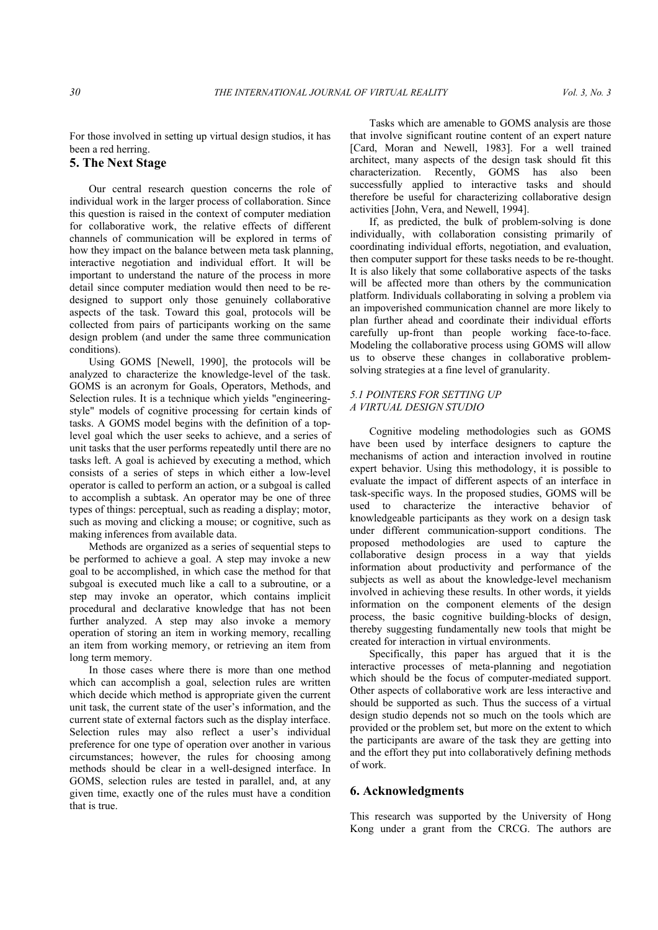For those involved in setting up virtual design studios, it has been a red herring.

# **5. The Next Stage**

 Our central research question concerns the role of individual work in the larger process of collaboration. Since this question is raised in the context of computer mediation for collaborative work, the relative effects of different channels of communication will be explored in terms of how they impact on the balance between meta task planning, interactive negotiation and individual effort. It will be important to understand the nature of the process in more detail since computer mediation would then need to be redesigned to support only those genuinely collaborative aspects of the task. Toward this goal, protocols will be collected from pairs of participants working on the same design problem (and under the same three communication conditions).

 Using GOMS [Newell, 1990], the protocols will be analyzed to characterize the knowledge-level of the task. GOMS is an acronym for Goals, Operators, Methods, and Selection rules. It is a technique which yields "engineeringstyle" models of cognitive processing for certain kinds of tasks. A GOMS model begins with the definition of a toplevel goal which the user seeks to achieve, and a series of unit tasks that the user performs repeatedly until there are no tasks left. A goal is achieved by executing a method, which consists of a series of steps in which either a low-level operator is called to perform an action, or a subgoal is called to accomplish a subtask. An operator may be one of three types of things: perceptual, such as reading a display; motor, such as moving and clicking a mouse; or cognitive, such as making inferences from available data.

 Methods are organized as a series of sequential steps to be performed to achieve a goal. A step may invoke a new goal to be accomplished, in which case the method for that subgoal is executed much like a call to a subroutine, or a step may invoke an operator, which contains implicit procedural and declarative knowledge that has not been further analyzed. A step may also invoke a memory operation of storing an item in working memory, recalling an item from working memory, or retrieving an item from long term memory.

 In those cases where there is more than one method which can accomplish a goal, selection rules are written which decide which method is appropriate given the current unit task, the current state of the user's information, and the current state of external factors such as the display interface. Selection rules may also reflect a user's individual preference for one type of operation over another in various circumstances; however, the rules for choosing among methods should be clear in a well-designed interface. In GOMS, selection rules are tested in parallel, and, at any given time, exactly one of the rules must have a condition that is true.

 Tasks which are amenable to GOMS analysis are those that involve significant routine content of an expert nature [Card, Moran and Newell, 1983]. For a well trained architect, many aspects of the design task should fit this characterization. Recently, GOMS has also been successfully applied to interactive tasks and should therefore be useful for characterizing collaborative design activities [John, Vera, and Newell, 1994].

 If, as predicted, the bulk of problem-solving is done individually, with collaboration consisting primarily of coordinating individual efforts, negotiation, and evaluation, then computer support for these tasks needs to be re-thought. It is also likely that some collaborative aspects of the tasks will be affected more than others by the communication platform. Individuals collaborating in solving a problem via an impoverished communication channel are more likely to plan further ahead and coordinate their individual efforts carefully up-front than people working face-to-face. Modeling the collaborative process using GOMS will allow us to observe these changes in collaborative problemsolving strategies at a fine level of granularity.

## *5.1 POINTERS FOR SETTING UP A VIRTUAL DESIGN STUDIO*

 Cognitive modeling methodologies such as GOMS have been used by interface designers to capture the mechanisms of action and interaction involved in routine expert behavior. Using this methodology, it is possible to evaluate the impact of different aspects of an interface in task-specific ways. In the proposed studies, GOMS will be used to characterize the interactive behavior of knowledgeable participants as they work on a design task under different communication-support conditions. The proposed methodologies are used to capture the collaborative design process in a way that yields information about productivity and performance of the subjects as well as about the knowledge-level mechanism involved in achieving these results. In other words, it yields information on the component elements of the design process, the basic cognitive building-blocks of design, thereby suggesting fundamentally new tools that might be created for interaction in virtual environments.

 Specifically, this paper has argued that it is the interactive processes of meta-planning and negotiation which should be the focus of computer-mediated support. Other aspects of collaborative work are less interactive and should be supported as such. Thus the success of a virtual design studio depends not so much on the tools which are provided or the problem set, but more on the extent to which the participants are aware of the task they are getting into and the effort they put into collaboratively defining methods of work.

## **6. Acknowledgments**

This research was supported by the University of Hong Kong under a grant from the CRCG. The authors are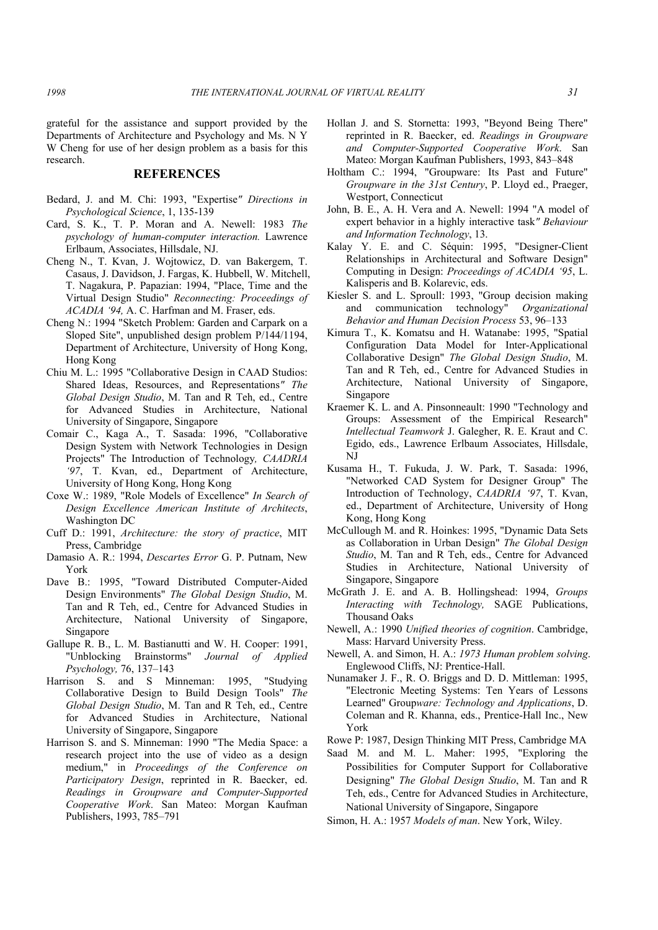grateful for the assistance and support provided by the Departments of Architecture and Psychology and Ms. N Y W Cheng for use of her design problem as a basis for this research.

#### **REFERENCES**

- Bedard, J. and M. Chi: 1993, "Expertise*" Directions in Psychological Science*, 1, 135-139
- Card, S. K., T. P. Moran and A. Newell: 1983 *The psychology of human-computer interaction.* Lawrence Erlbaum, Associates, Hillsdale, NJ.
- Cheng N., T. Kvan, J. Wojtowicz, D. van Bakergem, T. Casaus, J. Davidson, J. Fargas, K. Hubbell, W. Mitchell, T. Nagakura, P. Papazian: 1994, "Place, Time and the Virtual Design Studio" *Reconnecting: Proceedings of ACADIA '94,* A. C. Harfman and M. Fraser, eds.
- Cheng N.: 1994 "Sketch Problem: Garden and Carpark on a Sloped Site", unpublished design problem P/144/1194, Department of Architecture, University of Hong Kong, Hong Kong
- Chiu M. L.: 1995 "Collaborative Design in CAAD Studios: Shared Ideas, Resources, and Representations*" The Global Design Studio*, M. Tan and R Teh, ed., Centre for Advanced Studies in Architecture, National University of Singapore, Singapore
- Comair C., Kaga A., T. Sasada: 1996, "Collaborative Design System with Network Technologies in Design Projects" The Introduction of Technology*, CAADRIA '97*, T. Kvan, ed., Department of Architecture, University of Hong Kong, Hong Kong
- Coxe W.: 1989, "Role Models of Excellence" *In Search of Design Excellence American Institute of Architects*, Washington DC
- Cuff D.: 1991, *Architecture: the story of practice*, MIT Press, Cambridge
- Damasio A. R.: 1994, *Descartes Error* G. P. Putnam, New York
- Dave B.: 1995, "Toward Distributed Computer-Aided Design Environments" *The Global Design Studio*, M. Tan and R Teh, ed., Centre for Advanced Studies in Architecture, National University of Singapore, Singapore
- Gallupe R. B., L. M. Bastianutti and W. H. Cooper: 1991, "Unblocking Brainstorms" *Journal of Applied Psychology,* 76, 137–143
- Harrison S. and S Minneman: 1995, "Studying Collaborative Design to Build Design Tools" *The Global Design Studio*, M. Tan and R Teh, ed., Centre for Advanced Studies in Architecture, National University of Singapore, Singapore
- Harrison S. and S. Minneman: 1990 "The Media Space: a research project into the use of video as a design medium," in *Proceedings of the Conference on Participatory Design*, reprinted in R. Baecker, ed. *Readings in Groupware and Computer-Supported Cooperative Work*. San Mateo: Morgan Kaufman Publishers, 1993, 785–791
- Hollan J. and S. Stornetta: 1993, "Beyond Being There" reprinted in R. Baecker, ed. *Readings in Groupware and Computer-Supported Cooperative Work*. San Mateo: Morgan Kaufman Publishers, 1993, 843–848
- Holtham C.: 1994, "Groupware: Its Past and Future" *Groupware in the 31st Century*, P. Lloyd ed., Praeger, Westport, Connecticut
- John, B. E., A. H. Vera and A. Newell: 1994 "A model of expert behavior in a highly interactive task*" Behaviour and Information Technology*, 13.
- Kalay Y. E. and C. Séquin: 1995, "Designer-Client Relationships in Architectural and Software Design" Computing in Design: *Proceedings of ACADIA '95*, L. Kalisperis and B. Kolarevic, eds.
- Kiesler S. and L. Sproull: 1993, "Group decision making and communication technology" *Organizational Behavior and Human Decision Process* 53, 96–133
- Kimura T., K. Komatsu and H. Watanabe: 1995, "Spatial Configuration Data Model for Inter-Applicational Collaborative Design" *The Global Design Studio*, M. Tan and R Teh, ed., Centre for Advanced Studies in Architecture, National University of Singapore, Singapore
- Kraemer K. L. and A. Pinsonneault: 1990 "Technology and Groups: Assessment of the Empirical Research" *Intellectual Teamwork* J. Galegher, R. E. Kraut and C. Egido, eds., Lawrence Erlbaum Associates, Hillsdale, NJ
- Kusama H., T. Fukuda, J. W. Park, T. Sasada: 1996, "Networked CAD System for Designer Group" The Introduction of Technology, *CAADRIA '97*, T. Kvan, ed., Department of Architecture, University of Hong Kong, Hong Kong
- McCullough M. and R. Hoinkes: 1995, "Dynamic Data Sets as Collaboration in Urban Design" *The Global Design Studio*, M. Tan and R Teh, eds., Centre for Advanced Studies in Architecture, National University of Singapore, Singapore
- McGrath J. E. and A. B. Hollingshead: 1994, *Groups Interacting with Technology,* SAGE Publications, Thousand Oaks
- Newell, A.: 1990 *Unified theories of cognition*. Cambridge, Mass: Harvard University Press.
- Newell, A. and Simon, H. A.: *1973 Human problem solving*. Englewood Cliffs, NJ: Prentice-Hall.
- Nunamaker J. F., R. O. Briggs and D. D. Mittleman: 1995, "Electronic Meeting Systems: Ten Years of Lessons Learned" Group*ware: Technology and Applications*, D. Coleman and R. Khanna, eds., Prentice-Hall Inc., New York
- Rowe P: 1987, Design Thinking MIT Press, Cambridge MA
- Saad M. and M. L. Maher: 1995, "Exploring the Possibilities for Computer Support for Collaborative Designing" *The Global Design Studio*, M. Tan and R Teh, eds., Centre for Advanced Studies in Architecture, National University of Singapore, Singapore
- Simon, H. A.: 1957 *Models of man*. New York, Wiley.